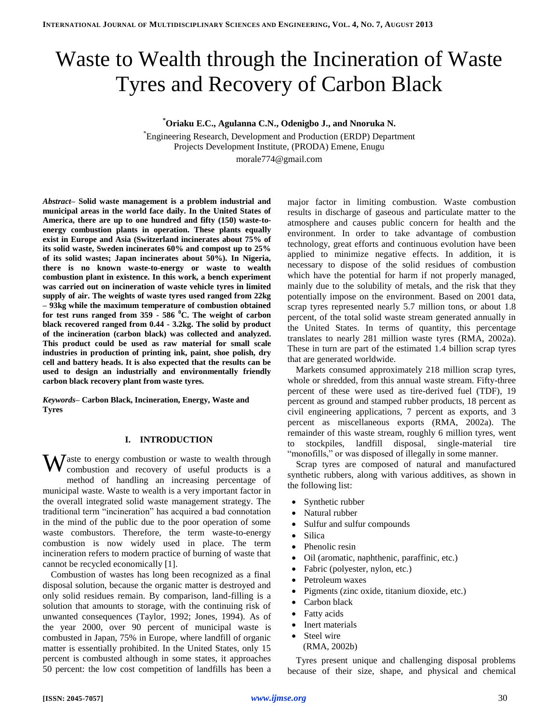# Waste to Wealth through the Incineration of Waste Tyres and Recovery of Carbon Black

**\*Oriaku E.C., Agulanna C.N., Odenigbo J., and Nnoruka N.**

\*Engineering Research, Development and Production (ERDP) Department Projects Development Institute, (PRODA) Emene, Enugu morale774@gmail.com

*Abstract–* **Solid waste management is a problem industrial and municipal areas in the world face daily. In the United States of America, there are up to one hundred and fifty (150) waste-toenergy combustion plants in operation. These plants equally exist in Europe and Asia (Switzerland incinerates about 75% of its solid waste, Sweden incinerates 60% and compost up to 25% of its solid wastes; Japan incinerates about 50%). In Nigeria, there is no known waste-to-energy or waste to wealth combustion plant in existence. In this work, a bench experiment was carried out on incineration of waste vehicle tyres in limited supply of air. The weights of waste tyres used ranged from 22kg – 93kg while the maximum temperature of combustion obtained for test runs ranged from 359 - 586 <sup>0</sup>C. The weight of carbon black recovered ranged from 0.44 - 3.2kg. The solid by product of the incineration (carbon black) was collected and analyzed. This product could be used as raw material for small scale industries in production of printing ink, paint, shoe polish, dry cell and battery heads. It is also expected that the results can be used to design an industrially and environmentally friendly carbon black recovery plant from waste tyres.**

*Keywords–* **Carbon Black, Incineration, Energy, Waste and Tyres**

## **I. INTRODUCTION**

 $\mathbf{W}$ aste to energy combustion or waste to wealth through combustion and recovery of useful products is a combustion and recovery of useful products is a method of handling an increasing percentage of municipal waste. Waste to wealth is a very important factor in the overall integrated solid waste management strategy. The traditional term "incineration" has acquired a bad connotation in the mind of the public due to the poor operation of some waste combustors. Therefore, the term waste-to-energy combustion is now widely used in place. The term incineration refers to modern practice of burning of waste that cannot be recycled economically [1].

Combustion of wastes has long been recognized as a final disposal solution, because the organic matter is destroyed and only solid residues remain. By comparison, land-filling is a solution that amounts to storage, with the continuing risk of unwanted consequences (Taylor, 1992; Jones, 1994). As of the year 2000, over 90 percent of municipal waste is combusted in Japan, 75% in Europe, where landfill of organic matter is essentially prohibited. In the United States, only 15 percent is combusted although in some states, it approaches 50 percent: the low cost competition of landfills has been a major factor in limiting combustion. Waste combustion results in discharge of gaseous and particulate matter to the atmosphere and causes public concern for health and the environment. In order to take advantage of combustion technology, great efforts and continuous evolution have been applied to minimize negative effects. In addition, it is necessary to dispose of the solid residues of combustion which have the potential for harm if not properly managed, mainly due to the solubility of metals, and the risk that they potentially impose on the environment. Based on 2001 data, scrap tyres represented nearly 5.7 million tons, or about 1.8 percent, of the total solid waste stream generated annually in the United States. In terms of quantity, this percentage translates to nearly 281 million waste tyres (RMA, 2002a). These in turn are part of the estimated 1.4 billion scrap tyres that are generated worldwide.

Markets consumed approximately 218 million scrap tyres, whole or shredded, from this annual waste stream. Fifty-three percent of these were used as tire-derived fuel (TDF), 19 percent as ground and stamped rubber products, 18 percent as civil engineering applications, 7 percent as exports, and 3 percent as miscellaneous exports (RMA, 2002a). The remainder of this waste stream, roughly 6 million tyres, went to stockpiles, landfill disposal, single-material tire "monofills," or was disposed of illegally in some manner.

Scrap tyres are composed of natural and manufactured synthetic rubbers, along with various additives, as shown in the following list:

- Synthetic rubber
- Natural rubber
- Sulfur and sulfur compounds
- Silica
- Phenolic resin
- Oil (aromatic, naphthenic, paraffinic, etc.)
- Fabric (polyester, nylon, etc.)
- Petroleum waxes
- Pigments (zinc oxide, titanium dioxide, etc.)
- Carbon black
- Fatty acids
- Inert materials
- Steel wire (RMA, 2002b)

Tyres present unique and challenging disposal problems because of their size, shape, and physical and chemical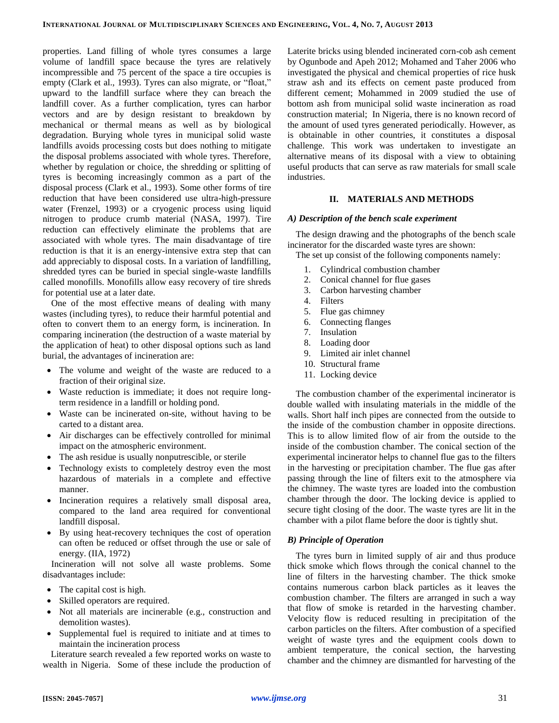properties. Land filling of whole tyres consumes a large volume of landfill space because the tyres are relatively incompressible and 75 percent of the space a tire occupies is empty (Clark et al., 1993). Tyres can also migrate, or "float," upward to the landfill surface where they can breach the landfill cover. As a further complication, tyres can harbor vectors and are by design resistant to breakdown by mechanical or thermal means as well as by biological degradation. Burying whole tyres in municipal solid waste landfills avoids processing costs but does nothing to mitigate the disposal problems associated with whole tyres. Therefore, whether by regulation or choice, the shredding or splitting of tyres is becoming increasingly common as a part of the disposal process (Clark et al., 1993). Some other forms of tire reduction that have been considered use ultra-high-pressure water (Frenzel, 1993) or a cryogenic process using liquid nitrogen to produce crumb material (NASA, 1997). Tire reduction can effectively eliminate the problems that are associated with whole tyres. The main disadvantage of tire reduction is that it is an energy-intensive extra step that can add appreciably to disposal costs. In a variation of landfilling, shredded tyres can be buried in special single-waste landfills called monofills. Monofills allow easy recovery of tire shreds for potential use at a later date.

One of the most effective means of dealing with many wastes (including tyres), to reduce their harmful potential and often to convert them to an energy form, is incineration. In comparing incineration (the destruction of a waste material by the application of heat) to other disposal options such as land burial, the advantages of incineration are:

- The volume and weight of the waste are reduced to a fraction of their original size.
- Waste reduction is immediate; it does not require longterm residence in a landfill or holding pond.
- Waste can be incinerated on-site, without having to be carted to a distant area.
- Air discharges can be effectively controlled for minimal impact on the atmospheric environment.
- The ash residue is usually nonputrescible, or sterile
- Technology exists to completely destroy even the most hazardous of materials in a complete and effective manner.
- Incineration requires a relatively small disposal area, compared to the land area required for conventional landfill disposal.
- By using heat-recovery techniques the cost of operation can often be reduced or offset through the use or sale of energy. (IIA, 1972)

Incineration will not solve all waste problems. Some disadvantages include:

- The capital cost is high.
- Skilled operators are required.
- Not all materials are incinerable (e.g., construction and demolition wastes).
- Supplemental fuel is required to initiate and at times to maintain the incineration process

Literature search revealed a few reported works on waste to wealth in Nigeria. Some of these include the production of

Laterite bricks using blended incinerated corn-cob ash cement by Ogunbode and Apeh 2012; Mohamed and Taher 2006 who investigated the physical and chemical properties of rice husk straw ash and its effects on cement paste produced from different cement; Mohammed in 2009 studied the use of bottom ash from municipal solid waste incineration as road construction material; In Nigeria, there is no known record of the amount of used tyres generated periodically. However, as is obtainable in other countries, it constitutes a disposal challenge. This work was undertaken to investigate an alternative means of its disposal with a view to obtaining useful products that can serve as raw materials for small scale industries.

## **II. MATERIALS AND METHODS**

## *A) Description of the bench scale experiment*

The design drawing and the photographs of the bench scale incinerator for the discarded waste tyres are shown:

The set up consist of the following components namely:

- 1. Cylindrical combustion chamber
- 2. Conical channel for flue gases
- 3. Carbon harvesting chamber
- 4. Filters
- 5. Flue gas chimney
- 6. Connecting flanges
- 7. Insulation
- 8. Loading door
- 9. Limited air inlet channel
- 10. Structural frame
- 11. Locking device

The combustion chamber of the experimental incinerator is double walled with insulating materials in the middle of the walls. Short half inch pipes are connected from the outside to the inside of the combustion chamber in opposite directions. This is to allow limited flow of air from the outside to the inside of the combustion chamber. The conical section of the experimental incinerator helps to channel flue gas to the filters in the harvesting or precipitation chamber. The flue gas after passing through the line of filters exit to the atmosphere via the chimney. The waste tyres are loaded into the combustion chamber through the door. The locking device is applied to secure tight closing of the door. The waste tyres are lit in the chamber with a pilot flame before the door is tightly shut.

# *B) Principle of Operation*

The tyres burn in limited supply of air and thus produce thick smoke which flows through the conical channel to the line of filters in the harvesting chamber. The thick smoke contains numerous carbon black particles as it leaves the combustion chamber. The filters are arranged in such a way that flow of smoke is retarded in the harvesting chamber. Velocity flow is reduced resulting in precipitation of the carbon particles on the filters. After combustion of a specified weight of waste tyres and the equipment cools down to ambient temperature, the conical section, the harvesting chamber and the chimney are dismantled for harvesting of the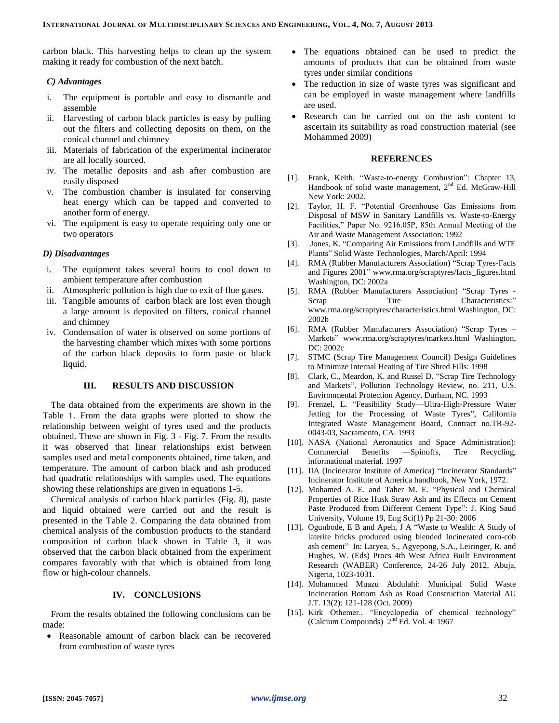carbon black. This harvesting helps to clean up the system making it ready for combustion of the next batch.

#### *C) Advantages*

- i. The equipment is portable and easy to dismantle and assemble
- ii. Harvesting of carbon black particles is easy by pulling out the filters and collecting deposits on them, on the conical channel and chimney
- iii. Materials of fabrication of the experimental incinerator are all locally sourced.
- iv. The metallic deposits and ash after combustion are easily disposed
- v. The combustion chamber is insulated for conserving heat energy which can be tapped and converted to another form of energy.
- vi. The equipment is easy to operate requiring only one or two operators

#### *D) Disadvantages*

- i. The equipment takes several hours to cool down to ambient temperature after combustion
- ii. Atmospheric pollution is high due to exit of flue gases.
- iii. Tangible amounts of carbon black are lost even though a large amount is deposited on filters, conical channel and chimney
- iv. Condensation of water is observed on some portions of the harvesting chamber which mixes with some portions of the carbon black deposits to form paste or black liquid.

#### **III. RESULTS AND DISCUSSION**

The data obtained from the experiments are shown in the Table 1. From the data graphs were plotted to show the relationship between weight of tyres used and the products obtained. These are shown in Fig. 3 - Fig. 7. From the results it was observed that linear relationships exist between samples used and metal components obtained, time taken, and temperature. The amount of carbon black and ash produced had quadratic relationships with samples used. The equations showing these relationships are given in equations 1-5.

Chemical analysis of carbon black particles (Fig. 8), paste and liquid obtained were carried out and the result is presented in the Table 2. Comparing the data obtained from chemical analysis of the combustion products to the standard composition of carbon black shown in Table 3, it was observed that the carbon black obtained from the experiment compares favorably with that which is obtained from long flow or high-colour channels.

#### **IV. CONCLUSIONS**

From the results obtained the following conclusions can be made:

 Reasonable amount of carbon black can be recovered from combustion of waste tyres

- The equations obtained can be used to predict the amounts of products that can be obtained from waste tyres under similar conditions
- The reduction in size of waste tyres was significant and can be employed in waste management where landfills are used.
- Research can be carried out on the ash content to ascertain its suitability as road construction material (see Mohammed 2009)

#### **REFERENCES**

- [1]. Frank, Keith. "Waste-to-energy Combustion": Chapter 13, Handbook of solid waste management, 2<sup>nd</sup> Ed. McGraw-Hill New York: 2002.
- [2]. Taylor, H. F. "Potential Greenhouse Gas Emissions from Disposal of MSW in Sanitary Landfills vs. Waste-to-Energy Facilities," Paper No. 9216.05P, 85th Annual Meeting of the Air and Waste Management Association: 1992
- [3]. Jones, K. "Comparing Air Emissions from Landfills and WTE Plants" Solid Waste Technologies, March/April: 1994
- [4]. RMA (Rubber Manufacturers Association) "Scrap Tyres-Facts and Figures 2001" www.rma.org/scraptyres/facts\_figures.html Washington, DC: 2002a
- [5]. RMA (Rubber Manufacturers Association) "Scrap Tyres Scrap Tire Characteristics:" www.rma.org/scraptyres/characteristics.html Washington, DC: 2002b
- [6]. RMA (Rubber Manufacturers Association) "Scrap Tyres Markets" www.rma.org/scraptyres/markets.html Washington, DC: 2002c
- [7]. STMC (Scrap Tire Management Council) Design Guidelines to Minimize Internal Heating of Tire Shred Fills: 1998
- [8]. Clark, C., Meardon, K. and Russel D. "Scrap Tire Technology and Markets", Pollution Technology Review, no. 211, U.S. Environmental Protection Agency, Durham, NC. 1993
- [9]. Frenzel, L. "Feasibility Study—Ultra-High-Pressure Water Jetting for the Processing of Waste Tyres", California Integrated Waste Management Board, Contract no.TR-92- 0043-03, Sacramento, CA. 1993
- [10]. NASA (National Aeronautics and Space Administration): Commercial Benefits —Spinoffs, Tire Recycling, informational material. 1997
- [11]. IIA (Incinerator Institute of America) "Incinerator Standards" Incinerator Institute of America handbook, New York, 1972.
- [12]. Mohamed A. E. and Taher M. E. "Physical and Chemical Properties of Rice Husk Straw Ash and its Effects on Cement Paste Produced from Different Cement Type": J. King Saud University, Volume 19, Eng Sci(1) Pp 21-30: 2006
- [13]. Ogunbode, E B and Apeh, J A "Waste to Wealth: A Study of laterite bricks produced using blended Incinerated corn-cob ash cement" In: Laryea, S., Agyepong, S.A., Leiringer, R. and Hughes, W. (Eds) Procs 4th West Africa Built Environment Research (WABER) Conference, 24-26 July 2012, Abuja, Nigeria, 1023-1031.
- [14]. Mohammed Muazu Abdulahi: Municipal Solid Waste Incineration Bottom Ash as Road Construction Material AU J.T. 13(2): 121-128 (Oct. 2009)
- [15]. Kirk Othemer., "Encyclopedia of chemical technology" (Calcium Compounds)  $2<sup>nd</sup>$  Ed. Vol. 4: 1967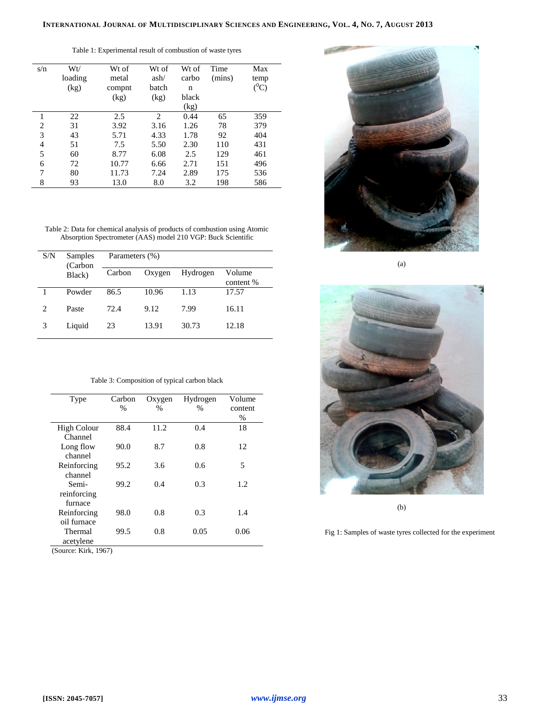| $(^0C)$<br>(kg)<br>batch<br>compnt<br>n<br>(kg)<br>black<br>(kg)<br>(kg)<br>2<br>0.44<br>22<br>2.5<br>65<br>359<br>$\overline{c}$<br>31<br>1.26<br>78<br>379<br>3.92<br>3.16<br>3<br>43<br>5.71<br>4.33<br>1.78<br>404<br>92<br>51<br>2.30<br>$\overline{4}$<br>5.50<br>110<br>431<br>7.5<br>5<br>60<br>6.08<br>129<br>461<br>8.77<br>2.5<br>6<br>72<br>10.77<br>2.71<br>151<br>496<br>6.66 | s/n | Wt/     | Wt of | Wt of | Wt of | Time   | Max  |
|---------------------------------------------------------------------------------------------------------------------------------------------------------------------------------------------------------------------------------------------------------------------------------------------------------------------------------------------------------------------------------------------|-----|---------|-------|-------|-------|--------|------|
|                                                                                                                                                                                                                                                                                                                                                                                             |     | loading | metal | ash/  | carbo | (mins) | temp |
|                                                                                                                                                                                                                                                                                                                                                                                             |     |         |       |       |       |        |      |
|                                                                                                                                                                                                                                                                                                                                                                                             |     |         |       |       |       |        |      |
|                                                                                                                                                                                                                                                                                                                                                                                             |     |         |       |       |       |        |      |
|                                                                                                                                                                                                                                                                                                                                                                                             |     |         |       |       |       |        |      |
|                                                                                                                                                                                                                                                                                                                                                                                             |     |         |       |       |       |        |      |
|                                                                                                                                                                                                                                                                                                                                                                                             |     |         |       |       |       |        |      |
|                                                                                                                                                                                                                                                                                                                                                                                             |     |         |       |       |       |        |      |
|                                                                                                                                                                                                                                                                                                                                                                                             |     |         |       |       |       |        |      |
|                                                                                                                                                                                                                                                                                                                                                                                             |     |         |       |       |       |        |      |
|                                                                                                                                                                                                                                                                                                                                                                                             | 7   | 80      | 11.73 | 7.24  | 2.89  | 175    | 536  |
| 8<br>13.0<br>93<br>198<br>8.0<br>3.2                                                                                                                                                                                                                                                                                                                                                        |     |         |       |       |       |        | 586  |

Table 1: Experimental result of combustion of waste tyres

Table 2: Data for chemical analysis of products of combustion using Atomic Absorption Spectrometer (AAS) model 210 VGP: Buck Scientific

| S/N            | Samples<br>(Carbon | Parameters (%) |        |          |                     |  |  |
|----------------|--------------------|----------------|--------|----------|---------------------|--|--|
|                | Black)             | Carbon         | Oxygen | Hydrogen | Volume<br>content % |  |  |
|                | Powder             | 86.5           | 10.96  | 1.13     | 17.57               |  |  |
| $\overline{c}$ | Paste              | 72.4           | 9.12   | 7.99     | 16.11               |  |  |
| 3              | Liquid             | 23             | 13.91  | 30.73    | 12.18               |  |  |

|  | Table 3: Composition of typical carbon black |  |  |
|--|----------------------------------------------|--|--|
|  |                                              |  |  |

| Type               | Carbon | Oxygen | Hydrogen | Volume  |
|--------------------|--------|--------|----------|---------|
|                    | $\%$   | %      | $\%$     | content |
|                    |        |        |          | $\%$    |
| <b>High Colour</b> | 88.4   | 11.2   | 0.4      | 18      |
| Channel            |        |        |          |         |
| Long flow          | 90.0   | 8.7    | 0.8      | 12      |
| channel            |        |        |          |         |
| Reinforcing        | 95.2   | 3.6    | 0.6      | 5       |
| channel            |        |        |          |         |
| Semi-              | 99.2   | 0.4    | 0.3      | 1.2     |
| reinforcing        |        |        |          |         |
| furnace            |        |        |          |         |
| Reinforcing        | 98.0   | 0.8    | 0.3      | 1.4     |
| oil furnace        |        |        |          |         |
| Thermal            | 99.5   | 0.8    | 0.05     | 0.06    |
| acetylene          |        |        |          |         |
|                    |        |        |          |         |

(Source: Kirk, 1967)



(a)



Fig 1: Samples of waste tyres collected for the experiment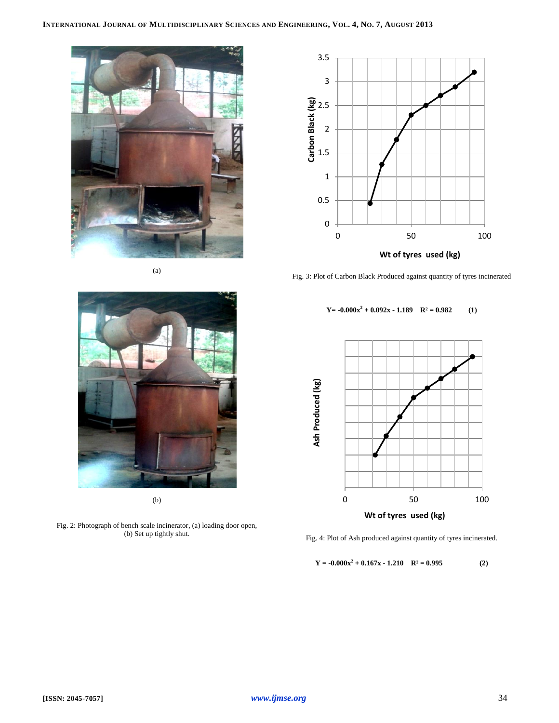# INTERNATIONAL JOURNAL OF MULTIDISCIPLINARY SCIENCES AND ENGINEERING, VOL. 4, No. 7, AUGUST 2013





Fig. 3: Plot of Carbon Black Produced against quantity of tyres incinerated

#### $Y = -0.000x^2 + 0.092x - 1.189$   $R^2 = 0.982$  (1)



Fig. 4: Plot of Ash produced against quantity of tyres incinerated.

$$
Y = -0.000x^{2} + 0.167x - 1.210 \quad R^{2} = 0.995
$$
 (2)



(b)

Fig. 2: Photograph of bench scale incinerator, (a) loading door open, (b) Set up tightly shut.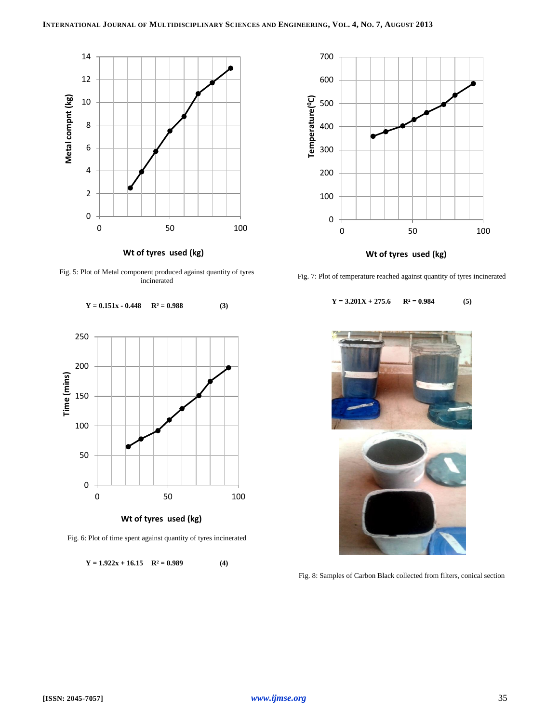

**Wt of tyres used (kg)**

Fig. 5: Plot of Metal component produced against quantity of tyres incinerated



Fig. 6: Plot of time spent against quantity of tyres incinerated

 $Y = 1.922x + 16.15$  **R**<sup>2</sup> = 0.989 (4)



Fig. 7: Plot of temperature reached against quantity of tyres incinerated

 $Y = 3.201X + 275.6$   $R^2 = 0.984$  (5)



Fig. 8: Samples of Carbon Black collected from filters, conical section